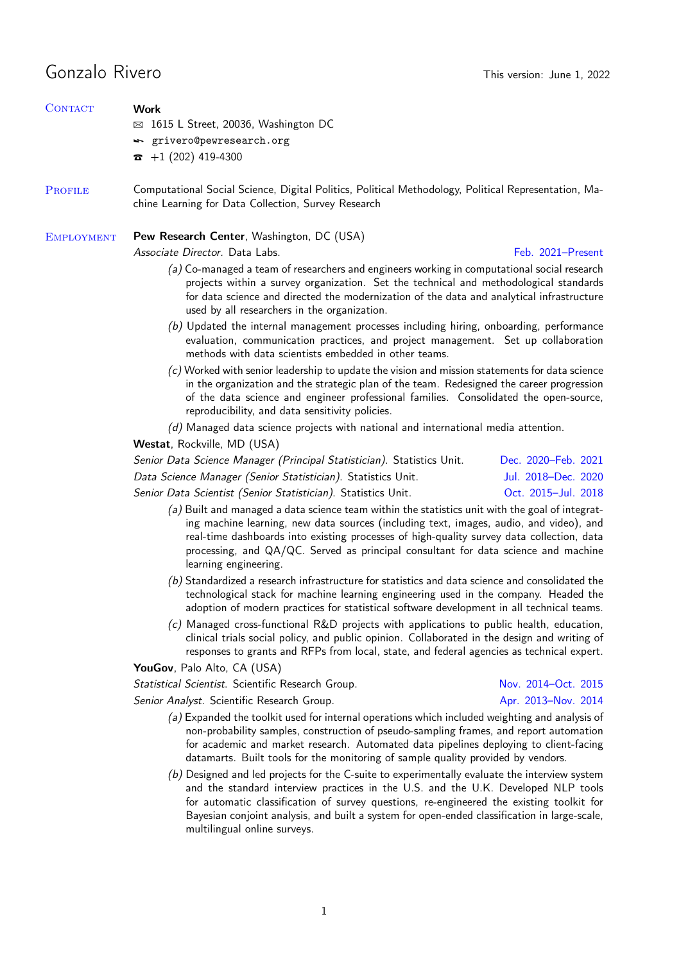# Gonzalo Rivero **This version:** June 1, 2022

| <b>CONTACT</b>    | Work                                                                                                                                                                                                                                                                                                                                                                                                  |                     |  |
|-------------------|-------------------------------------------------------------------------------------------------------------------------------------------------------------------------------------------------------------------------------------------------------------------------------------------------------------------------------------------------------------------------------------------------------|---------------------|--|
|                   | $\boxtimes$ 1615 L Street, 20036, Washington DC                                                                                                                                                                                                                                                                                                                                                       |                     |  |
|                   | sextlepers griver of persons research.org                                                                                                                                                                                                                                                                                                                                                             |                     |  |
|                   | $+1(202)$ 419-4300<br>T                                                                                                                                                                                                                                                                                                                                                                               |                     |  |
| <b>PROFILE</b>    | Computational Social Science, Digital Politics, Political Methodology, Political Representation, Ma-<br>chine Learning for Data Collection, Survey Research                                                                                                                                                                                                                                           |                     |  |
| <b>EMPLOYMENT</b> | Pew Research Center, Washington, DC (USA)                                                                                                                                                                                                                                                                                                                                                             |                     |  |
|                   | Associate Director. Data Labs.                                                                                                                                                                                                                                                                                                                                                                        | Feb. 2021-Present   |  |
|                   | (a) Co-managed a team of researchers and engineers working in computational social research<br>projects within a survey organization. Set the technical and methodological standards<br>for data science and directed the modernization of the data and analytical infrastructure<br>used by all researchers in the organization.                                                                     |                     |  |
|                   | (b) Updated the internal management processes including hiring, onboarding, performance<br>evaluation, communication practices, and project management. Set up collaboration<br>methods with data scientists embedded in other teams.                                                                                                                                                                 |                     |  |
|                   | $(c)$ Worked with senior leadership to update the vision and mission statements for data science<br>in the organization and the strategic plan of the team. Redesigned the career progression<br>of the data science and engineer professional families. Consolidated the open-source,<br>reproducibility, and data sensitivity policies.                                                             |                     |  |
|                   | $(d)$ Managed data science projects with national and international media attention.                                                                                                                                                                                                                                                                                                                  |                     |  |
|                   | Westat, Rockville, MD (USA)                                                                                                                                                                                                                                                                                                                                                                           |                     |  |
|                   | Senior Data Science Manager (Principal Statistician). Statistics Unit.                                                                                                                                                                                                                                                                                                                                | Dec. 2020–Feb. 2021 |  |
|                   | Data Science Manager (Senior Statistician). Statistics Unit.                                                                                                                                                                                                                                                                                                                                          | Jul. 2018-Dec. 2020 |  |
|                   | Senior Data Scientist (Senior Statistician). Statistics Unit.                                                                                                                                                                                                                                                                                                                                         | Oct. 2015-Jul. 2018 |  |
|                   | (a) Built and managed a data science team within the statistics unit with the goal of integrat-<br>ing machine learning, new data sources (including text, images, audio, and video), and<br>real-time dashboards into existing processes of high-quality survey data collection, data<br>processing, and QA/QC. Served as principal consultant for data science and machine<br>learning engineering. |                     |  |
|                   | $(b)$ Standardized a research infrastructure for statistics and data science and consolidated the<br>technological stack for machine learning engineering used in the company. Headed the<br>adoption of modern practices for statistical software development in all technical teams.                                                                                                                |                     |  |
|                   | (c) Managed cross-functional R&D projects with applications to public health, education,<br>clinical trials social policy, and public opinion. Collaborated in the design and writing of<br>responses to grants and RFPs from local, state, and federal agencies as technical expert.                                                                                                                 |                     |  |
|                   | YouGov, Palo Alto, CA (USA)                                                                                                                                                                                                                                                                                                                                                                           |                     |  |
|                   | Statistical Scientist. Scientific Research Group.                                                                                                                                                                                                                                                                                                                                                     | Nov. 2014-Oct. 2015 |  |
|                   | Senior Analyst. Scientific Research Group.                                                                                                                                                                                                                                                                                                                                                            | Apr. 2013-Nov. 2014 |  |
|                   | (a) Expanded the toolkit used for internal operations which included weighting and analysis of<br>non-probability samples, construction of pseudo-sampling frames, and report automation<br>for academic and market research. Automated data pipelines deploying to client-facing<br>datamarts. Built tools for the monitoring of sample quality provided by vendors.                                 |                     |  |
|                   | (b) Designed and led projects for the C-suite to experimentally evaluate the interview system<br>and the standard interview practices in the U.S. and the U.K. Developed NLP tools<br>for automatic classification of survey questions, re-engineered the existing toolkit for<br>Bayesian conjoint analysis, and built a system for open-ended classification in large-scale,                        |                     |  |

multilingual online surveys.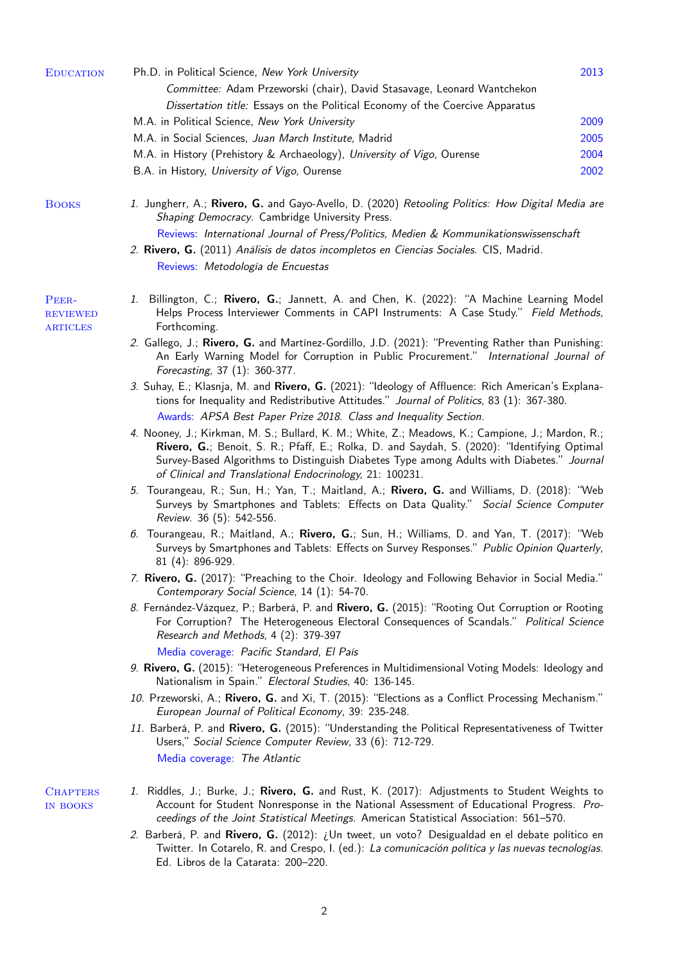| <b>EDUCATION</b>                            | Ph.D. in Political Science, New York University                                                                                                                                                                                                                                                                                                          | 2013 |
|---------------------------------------------|----------------------------------------------------------------------------------------------------------------------------------------------------------------------------------------------------------------------------------------------------------------------------------------------------------------------------------------------------------|------|
|                                             | Committee: Adam Przeworski (chair), David Stasavage, Leonard Wantchekon                                                                                                                                                                                                                                                                                  |      |
|                                             | Dissertation title: Essays on the Political Economy of the Coercive Apparatus                                                                                                                                                                                                                                                                            |      |
|                                             | M.A. in Political Science, New York University                                                                                                                                                                                                                                                                                                           | 2009 |
|                                             | M.A. in Social Sciences, Juan March Institute, Madrid                                                                                                                                                                                                                                                                                                    | 2005 |
|                                             | M.A. in History (Prehistory & Archaeology), University of Vigo, Ourense                                                                                                                                                                                                                                                                                  | 2004 |
|                                             | B.A. in History, University of Vigo, Ourense                                                                                                                                                                                                                                                                                                             | 2002 |
|                                             |                                                                                                                                                                                                                                                                                                                                                          |      |
| <b>BOOKS</b>                                | 1. Jungherr, A.; Rivero, G. and Gayo-Avello, D. (2020) Retooling Politics: How Digital Media are<br>Shaping Democracy. Cambridge University Press.                                                                                                                                                                                                       |      |
|                                             | Reviews: International Journal of Press/Politics, Medien & Kommunikationswissenschaft                                                                                                                                                                                                                                                                    |      |
|                                             | 2. Rivero, G. (2011) Análisis de datos incompletos en Ciencias Sociales. CIS, Madrid.                                                                                                                                                                                                                                                                    |      |
|                                             | Reviews: Metodología de Encuestas                                                                                                                                                                                                                                                                                                                        |      |
|                                             |                                                                                                                                                                                                                                                                                                                                                          |      |
| PEER-<br><b>REVIEWED</b><br><b>ARTICLES</b> | 1. Billington, C.; Rivero, G.; Jannett, A. and Chen, K. (2022): "A Machine Learning Model<br>Helps Process Interviewer Comments in CAPI Instruments: A Case Study." Field Methods,<br>Forthcoming.                                                                                                                                                       |      |
|                                             | 2. Gallego, J.; Rivero, G. and Martínez-Gordillo, J.D. (2021): "Preventing Rather than Punishing:<br>An Early Warning Model for Corruption in Public Procurement." International Journal of<br>Forecasting, 37 (1): 360-377.                                                                                                                             |      |
|                                             | 3. Suhay, E.; Klasnja, M. and Rivero, G. (2021): "Ideology of Affluence: Rich American's Explana-<br>tions for Inequality and Redistributive Attitudes." Journal of Politics, 83 (1): 367-380.                                                                                                                                                           |      |
|                                             | Awards: APSA Best Paper Prize 2018. Class and Inequality Section.                                                                                                                                                                                                                                                                                        |      |
|                                             | 4. Nooney, J.; Kirkman, M. S.; Bullard, K. M.; White, Z.; Meadows, K.; Campione, J.; Mardon, R.;<br>Rivero, G.; Benoit, S. R.; Pfaff, E.; Rolka, D. and Saydah, S. (2020): "Identifying Optimal<br>Survey-Based Algorithms to Distinguish Diabetes Type among Adults with Diabetes." Journa.<br>of Clinical and Translational Endocrinology, 21: 100231. |      |
|                                             | 5. Tourangeau, R.; Sun, H.; Yan, T.; Maitland, A.; Rivero, G. and Williams, D. (2018): "Web<br>Surveys by Smartphones and Tablets: Effects on Data Quality." Social Science Computer<br>Review. 36 (5): 542-556.                                                                                                                                         |      |
|                                             | 6. Tourangeau, R.; Maitland, A.; Rivero, G.; Sun, H.; Williams, D. and Yan, T. (2017): "Web<br>Surveys by Smartphones and Tablets: Effects on Survey Responses." Public Opinion Quarterly,<br>81 (4): 896-929.                                                                                                                                           |      |
|                                             | 7. Rivero, G. (2017): "Preaching to the Choir. Ideology and Following Behavior in Social Media."<br>Contemporary Social Science, 14 (1): 54-70.                                                                                                                                                                                                          |      |
|                                             | 8. Fernández-Vázquez, P.; Barberá, P. and Rivero, G. (2015): "Rooting Out Corruption or Rooting<br>For Corruption? The Heterogeneous Electoral Consequences of Scandals." Political Science<br>Research and Methods, 4 (2): 379-397                                                                                                                      |      |
|                                             | Media coverage: Pacific Standard, El País                                                                                                                                                                                                                                                                                                                |      |
|                                             | 9. Rivero, G. (2015): "Heterogeneous Preferences in Multidimensional Voting Models: Ideology and<br>Nationalism in Spain." Electoral Studies, 40: 136-145.                                                                                                                                                                                               |      |
|                                             | 10. Przeworski, A.; Rivero, G. and Xi, T. (2015): "Elections as a Conflict Processing Mechanism."<br>European Journal of Political Economy, 39: 235-248.                                                                                                                                                                                                 |      |
|                                             | 11. Barberá, P. and Rivero, G. (2015): "Understanding the Political Representativeness of Twitter<br>Users," Social Science Computer Review, 33 (6): 712-729.                                                                                                                                                                                            |      |
|                                             | Media coverage: The Atlantic                                                                                                                                                                                                                                                                                                                             |      |
| <b>CHAPTERS</b><br><b>IN BOOKS</b>          | 1. Riddles, J.; Burke, J.; Rivero, G. and Rust, K. (2017): Adjustments to Student Weights to<br>Account for Student Nonresponse in the National Assessment of Educational Progress. Pro-<br>ceedings of the Joint Statistical Meetings. American Statistical Association: 561-570.                                                                       |      |
|                                             | 2. Barberá, P. and Rivero, G. (2012): <i>i</i> Un tweet, un voto? Desigualdad en el debate político en<br>Twitter. In Cotarelo, R. and Crespo, I. (ed.): La comunicación política y las nuevas tecnologías.                                                                                                                                              |      |

2

Ed. Libros de la Catarata: 200–220.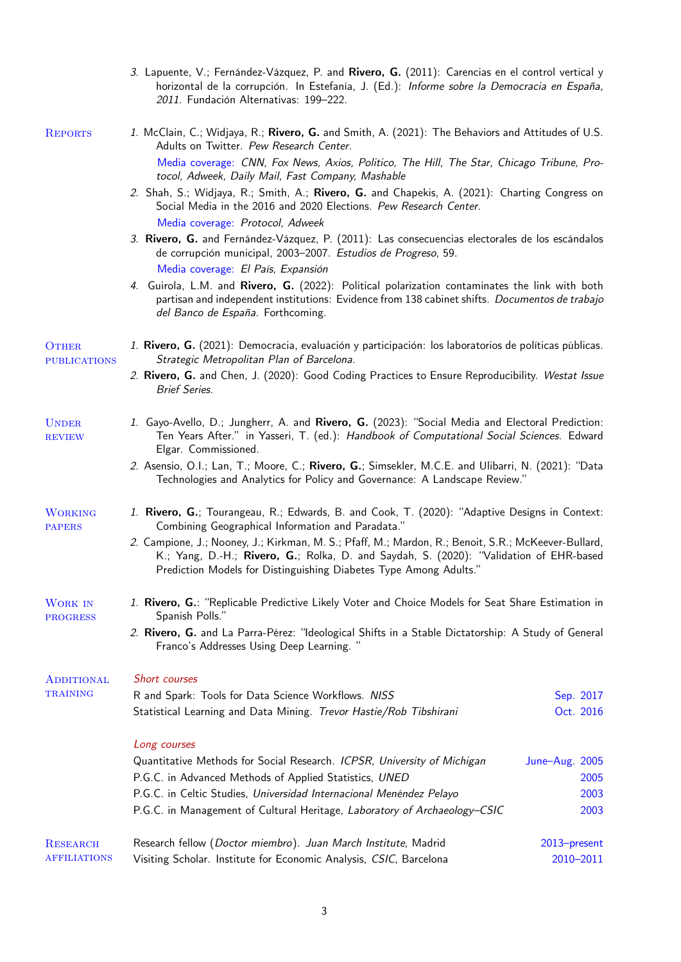|                                     | 3. Lapuente, V.; Fernández-Vázquez, P. and Rivero, G. (2011): Carencias en el control vertical y<br>horizontal de la corrupción. In Estefanía, J. (Ed.): Informe sobre la Democracia en España,<br>2011. Fundación Alternativas: 199-222.                                   |                |
|-------------------------------------|-----------------------------------------------------------------------------------------------------------------------------------------------------------------------------------------------------------------------------------------------------------------------------|----------------|
| <b>REPORTS</b>                      | 1. McClain, C.; Widjaya, R.; Rivero, G. and Smith, A. (2021): The Behaviors and Attitudes of U.S.<br>Adults on Twitter. Pew Research Center.                                                                                                                                |                |
|                                     | Media coverage: CNN, Fox News, Axios, Politico, The Hill, The Star, Chicago Tribune, Pro-<br>tocol, Adweek, Daily Mail, Fast Company, Mashable                                                                                                                              |                |
|                                     | 2. Shah, S.; Widjaya, R.; Smith, A.; Rivero, G. and Chapekis, A. (2021): Charting Congress on<br>Social Media in the 2016 and 2020 Elections. Pew Research Center.<br>Media coverage: Protocol, Adweek                                                                      |                |
|                                     | 3. Rivero, G. and Fernández-Vázquez, P. (2011): Las consecuencias electorales de los escándalos<br>de corrupción municipal, 2003-2007. Estudios de Progreso, 59.                                                                                                            |                |
|                                     | Media coverage: El País, Expansión<br>4. Guirola, L.M. and Rivero, G. (2022): Political polarization contaminates the link with both<br>partisan and independent institutions: Evidence from 138 cabinet shifts. Documentos de trabajo<br>del Banco de España. Forthcoming. |                |
| <b>OTHER</b><br><b>PUBLICATIONS</b> | 1. Rivero, G. (2021): Democracia, evaluación y participación: los laboratorios de políticas públicas.<br>Strategic Metropolitan Plan of Barcelona.                                                                                                                          |                |
|                                     | 2. Rivero, G. and Chen, J. (2020): Good Coding Practices to Ensure Reproducibility. Westat Issue<br><b>Brief Series.</b>                                                                                                                                                    |                |
| <b>UNDER</b><br><b>REVIEW</b>       | 1. Gayo-Avello, D.; Jungherr, A. and Rivero, G. (2023): "Social Media and Electoral Prediction:<br>Ten Years After." in Yasseri, T. (ed.): Handbook of Computational Social Sciences. Edward<br>Elgar. Commissioned.                                                        |                |
|                                     | 2. Asensio, O.I.; Lan, T.; Moore, C.; Rivero, G.; Simsekler, M.C.E. and Ulibarri, N. (2021): "Data<br>Technologies and Analytics for Policy and Governance: A Landscape Review."                                                                                            |                |
| <b>WORKING</b><br><b>PAPERS</b>     | 1. Rivero, G.; Tourangeau, R.; Edwards, B. and Cook, T. (2020): "Adaptive Designs in Context:<br>Combining Geographical Information and Paradata."                                                                                                                          |                |
|                                     | 2. Campione, J.; Nooney, J.; Kirkman, M. S.; Pfaff, M.; Mardon, R.; Benoit, S.R.; McKeever-Bullard,<br>K.; Yang, D.-H.; Rivero, G.; Rolka, D. and Saydah, S. (2020): "Validation of EHR-based<br>Prediction Models for Distinguishing Diabetes Type Among Adults."          |                |
| <b>WORK IN</b><br><b>PROGRESS</b>   | 1. Rivero, G.: "Replicable Predictive Likely Voter and Choice Models for Seat Share Estimation in<br>Spanish Polls."                                                                                                                                                        |                |
|                                     | 2. Rivero, G. and La Parra-Pérez: "Ideological Shifts in a Stable Dictatorship: A Study of General<br>Franco's Addresses Using Deep Learning."                                                                                                                              |                |
| <b>ADDITIONAL</b>                   | Short courses                                                                                                                                                                                                                                                               |                |
| <b>TRAINING</b>                     | R and Spark: Tools for Data Science Workflows. NISS                                                                                                                                                                                                                         | Sep. 2017      |
|                                     | Statistical Learning and Data Mining. Trevor Hastie/Rob Tibshirani                                                                                                                                                                                                          | Oct. 2016      |
|                                     | Long courses                                                                                                                                                                                                                                                                |                |
|                                     | Quantitative Methods for Social Research. ICPSR, University of Michigan                                                                                                                                                                                                     | June-Aug. 2005 |
|                                     | P.G.C. in Advanced Methods of Applied Statistics, UNED                                                                                                                                                                                                                      | 2005           |
|                                     | P.G.C. in Celtic Studies, Universidad Internacional Menéndez Pelayo<br>P.G.C. in Management of Cultural Heritage, Laboratory of Archaeology-CSIC                                                                                                                            | 2003<br>2003   |
| <b>RESEARCH</b>                     | Research fellow (Doctor miembro). Juan March Institute, Madrid                                                                                                                                                                                                              | 2013-present   |
| <b>AFFILIATIONS</b>                 | Visiting Scholar. Institute for Economic Analysis, CSIC, Barcelona                                                                                                                                                                                                          | 2010-2011      |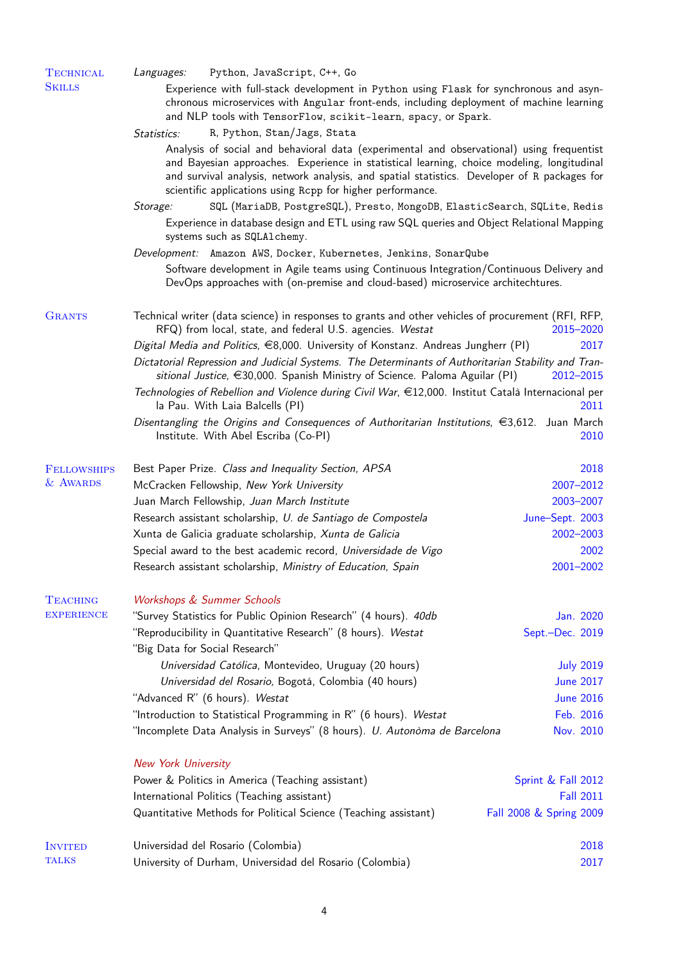| <b>TECHNICAL</b><br><b>SKILLS</b> | Languages:                     | Python, JavaScript, C++, Go<br>Experience with full-stack development in Python using Flask for synchronous and asyn-                                                                                                                                                                                                                                 |                                        |
|-----------------------------------|--------------------------------|-------------------------------------------------------------------------------------------------------------------------------------------------------------------------------------------------------------------------------------------------------------------------------------------------------------------------------------------------------|----------------------------------------|
|                                   |                                | chronous microservices with Angular front-ends, including deployment of machine learning<br>and NLP tools with TensorFlow, scikit-learn, spacy, or Spark.                                                                                                                                                                                             |                                        |
|                                   | <i>Statistics:</i>             | R, Python, Stan/Jags, Stata                                                                                                                                                                                                                                                                                                                           |                                        |
|                                   |                                | Analysis of social and behavioral data (experimental and observational) using frequentist<br>and Bayesian approaches. Experience in statistical learning, choice modeling, longitudinal<br>and survival analysis, network analysis, and spatial statistics. Developer of R packages for<br>scientific applications using Repp for higher performance. |                                        |
|                                   | Storage:                       | SQL (MariaDB, PostgreSQL), Presto, MongoDB, ElasticSearch, SQLite, Redis<br>Experience in database design and ETL using raw SQL queries and Object Relational Mapping<br>systems such as SQLA1chemy.                                                                                                                                                  |                                        |
|                                   |                                | Development: Amazon AWS, Docker, Kubernetes, Jenkins, SonarQube                                                                                                                                                                                                                                                                                       |                                        |
|                                   |                                | Software development in Agile teams using Continuous Integration/Continuous Delivery and<br>DevOps approaches with (on-premise and cloud-based) microservice architechtures.                                                                                                                                                                          |                                        |
| <b>GRANTS</b>                     |                                | Technical writer (data science) in responses to grants and other vehicles of procurement (RFI, RFP,<br>RFQ) from local, state, and federal U.S. agencies. Westat                                                                                                                                                                                      | 2015-2020                              |
|                                   |                                | Digital Media and Politics, $\epsilon$ 8,000. University of Konstanz. Andreas Jungherr (PI)                                                                                                                                                                                                                                                           | 2017                                   |
|                                   |                                | Dictatorial Repression and Judicial Systems. The Determinants of Authoritarian Stability and Tran-<br>sitional Justice, €30,000. Spanish Ministry of Science. Paloma Aguilar (PI)                                                                                                                                                                     | 2012-2015                              |
|                                   |                                | Technologies of Rebellion and Violence during Civil War, €12,000. Institut Català Internacional per<br>la Pau. With Laia Balcells (PI)                                                                                                                                                                                                                | 2011                                   |
|                                   |                                | Disentangling the Origins and Consequences of Authoritarian Institutions, €3,612. Juan March<br>Institute. With Abel Escriba (Co-PI)                                                                                                                                                                                                                  | 2010                                   |
| <b>FELLOWSHIPS</b>                |                                | Best Paper Prize. Class and Inequality Section, APSA                                                                                                                                                                                                                                                                                                  | 2018                                   |
| & AWARDS                          |                                | McCracken Fellowship, New York University                                                                                                                                                                                                                                                                                                             | 2007-2012                              |
|                                   |                                | Juan March Fellowship, Juan March Institute                                                                                                                                                                                                                                                                                                           | 2003-2007                              |
|                                   |                                | Research assistant scholarship, U. de Santiago de Compostela                                                                                                                                                                                                                                                                                          | June-Sept. 2003                        |
|                                   |                                | Xunta de Galicia graduate scholarship, Xunta de Galicia                                                                                                                                                                                                                                                                                               | 2002-2003                              |
|                                   |                                | Special award to the best academic record, Universidade de Vigo                                                                                                                                                                                                                                                                                       | 2002                                   |
|                                   |                                | Research assistant scholarship, Ministry of Education, Spain                                                                                                                                                                                                                                                                                          | 2001-2002                              |
| <b>TEACHING</b>                   |                                | <b>Workshops &amp; Summer Schools</b>                                                                                                                                                                                                                                                                                                                 |                                        |
| <b>EXPERIENCE</b>                 |                                | "Survey Statistics for Public Opinion Research" (4 hours). 40db                                                                                                                                                                                                                                                                                       | Jan. 2020                              |
|                                   | "Big Data for Social Research" | "Reproducibility in Quantitative Research" (8 hours). Westat                                                                                                                                                                                                                                                                                          | Sept.-Dec. 2019                        |
|                                   |                                | Universidad Católica, Montevideo, Uruguay (20 hours)                                                                                                                                                                                                                                                                                                  | <b>July 2019</b>                       |
|                                   |                                | Universidad del Rosario, Bogotá, Colombia (40 hours)                                                                                                                                                                                                                                                                                                  | <b>June 2017</b>                       |
|                                   |                                | "Advanced R" (6 hours). Westat                                                                                                                                                                                                                                                                                                                        | <b>June 2016</b>                       |
|                                   |                                | "Introduction to Statistical Programming in R" (6 hours). Westat                                                                                                                                                                                                                                                                                      | Feb. 2016                              |
|                                   |                                | "Incomplete Data Analysis in Surveys" (8 hours). U. Autonòma de Barcelona                                                                                                                                                                                                                                                                             | Nov. 2010                              |
|                                   | <b>New York University</b>     |                                                                                                                                                                                                                                                                                                                                                       |                                        |
|                                   |                                | Power & Politics in America (Teaching assistant)<br>International Politics (Teaching assistant)                                                                                                                                                                                                                                                       | Sprint & Fall 2012<br><b>Fall 2011</b> |
|                                   |                                | Quantitative Methods for Political Science (Teaching assistant)                                                                                                                                                                                                                                                                                       | Fall 2008 & Spring 2009                |
| <b>INVITED</b>                    |                                | Universidad del Rosario (Colombia)                                                                                                                                                                                                                                                                                                                    | 2018                                   |
| <b>TALKS</b>                      |                                | University of Durham, Universidad del Rosario (Colombia)                                                                                                                                                                                                                                                                                              | 2017                                   |
|                                   |                                |                                                                                                                                                                                                                                                                                                                                                       |                                        |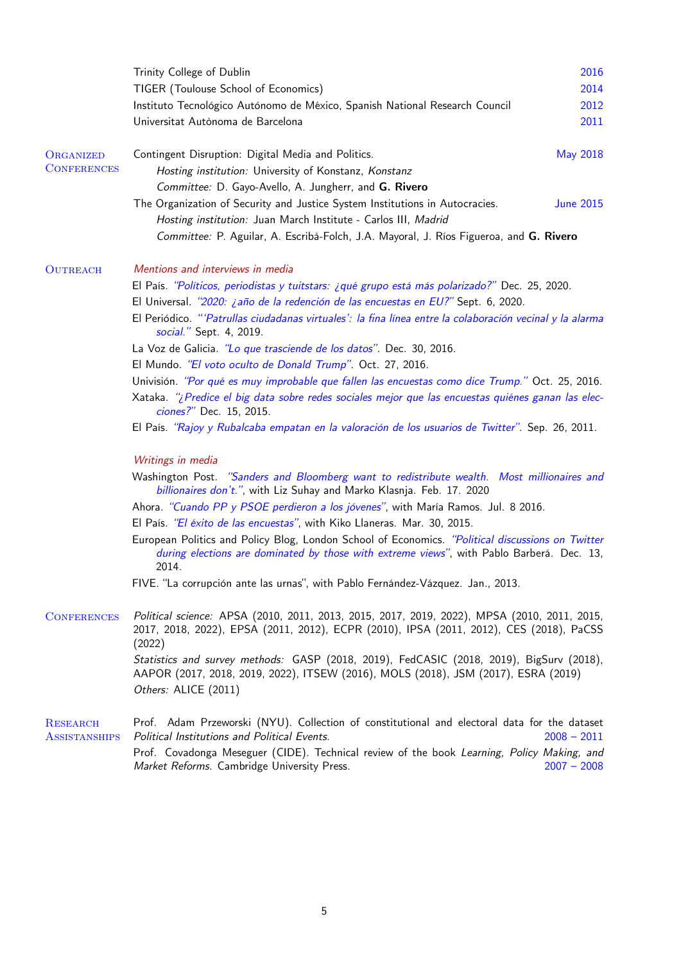|                                         | Trinity College of Dublin                                                                                                                                                                              | 2016             |  |
|-----------------------------------------|--------------------------------------------------------------------------------------------------------------------------------------------------------------------------------------------------------|------------------|--|
|                                         | TIGER (Toulouse School of Economics)                                                                                                                                                                   | 2014             |  |
|                                         | Instituto Tecnológico Autónomo de México, Spanish National Research Council                                                                                                                            | 2012             |  |
|                                         | Universitat Autònoma de Barcelona                                                                                                                                                                      | 2011             |  |
| ORGANIZED                               | Contingent Disruption: Digital Media and Politics.                                                                                                                                                     | <b>May 2018</b>  |  |
| <b>CONFERENCES</b>                      | Hosting institution: University of Konstanz, Konstanz                                                                                                                                                  |                  |  |
|                                         | Committee: D. Gayo-Avello, A. Jungherr, and G. Rivero                                                                                                                                                  |                  |  |
|                                         | The Organization of Security and Justice System Institutions in Autocracies.                                                                                                                           | <b>June 2015</b> |  |
|                                         | Hosting institution: Juan March Institute - Carlos III, Madrid                                                                                                                                         |                  |  |
|                                         | Committee: P. Aguilar, A. Escribà-Folch, J.A. Mayoral, J. Ríos Figueroa, and G. Rivero                                                                                                                 |                  |  |
| <b>OUTREACH</b>                         | Mentions and interviews in media                                                                                                                                                                       |                  |  |
|                                         | El País. "Políticos, periodistas y tuitstars: ¿qué grupo está más polarizado?" Dec. 25, 2020.                                                                                                          |                  |  |
|                                         | El Universal. "2020: <i>¿año de la redención de las encuestas en EU?</i> " Sept. 6, 2020.                                                                                                              |                  |  |
|                                         | El Periódico. "'Patrullas ciudadanas virtuales': la fina línea entre la colaboración vecinal y la alarma<br>social." Sept. 4, 2019.                                                                    |                  |  |
|                                         | La Voz de Galicia. "Lo que trasciende de los datos". Dec. 30, 2016.                                                                                                                                    |                  |  |
|                                         | El Mundo. "El voto oculto de Donald Trump". Oct. 27, 2016.                                                                                                                                             |                  |  |
|                                         | Univisión. "Por qué es muy improbable que fallen las encuestas como dice Trump." Oct. 25, 2016.                                                                                                        |                  |  |
|                                         | Xataka. "¿Predice el big data sobre redes sociales mejor que las encuestas quiénes ganan las elec-<br>ciones?" Dec. 15, 2015.                                                                          |                  |  |
|                                         | El País. "Rajoy y Rubalcaba empatan en la valoración de los usuarios de Twitter". Sep. 26, 2011.                                                                                                       |                  |  |
|                                         | Writings in media                                                                                                                                                                                      |                  |  |
|                                         | Washington Post. "Sanders and Bloomberg want to redistribute wealth. Most millionaires and<br>billionaires don't.", with Liz Suhay and Marko Klasnja. Feb. 17. 2020                                    |                  |  |
|                                         | Ahora. "Cuando PP y PSOE perdieron a los jóvenes", with María Ramos. Jul. 8 2016.                                                                                                                      |                  |  |
|                                         | El País. "El éxito de las encuestas", with Kiko Llaneras. Mar. 30, 2015.                                                                                                                               |                  |  |
|                                         | European Politics and Policy Blog, London School of Economics. "Political discussions on Twitter<br>during elections are dominated by those with extreme views", with Pablo Barberá. Dec. 13,<br>2014. |                  |  |
|                                         | FIVE. "La corrupción ante las urnas", with Pablo Fernández-Vázquez. Jan., 2013.                                                                                                                        |                  |  |
| <b>CONFERENCES</b>                      | Political science: APSA (2010, 2011, 2013, 2015, 2017, 2019, 2022), MPSA (2010, 2011, 2015,<br>2017, 2018, 2022), EPSA (2011, 2012), ECPR (2010), IPSA (2011, 2012), CES (2018), PaCSS<br>(2022)       |                  |  |
|                                         | Statistics and survey methods: GASP (2018, 2019), FedCASIC (2018, 2019), BigSurv (2018),<br>AAPOR (2017, 2018, 2019, 2022), ITSEW (2016), MOLS (2018), JSM (2017), ESRA (2019)                         |                  |  |
|                                         | Others: ALICE (2011)                                                                                                                                                                                   |                  |  |
| <b>RESEARCH</b><br><b>ASSISTANSHIPS</b> | Prof. Adam Przeworski (NYU). Collection of constitutional and electoral data for the dataset<br>Political Institutions and Political Events.                                                           | $2008 - 2011$    |  |
|                                         | Prof. Covadonga Meseguer (CIDE). Technical review of the book Learning, Policy Making, and                                                                                                             |                  |  |

Market Reforms. Cambridge University Press. 2007 - 2008